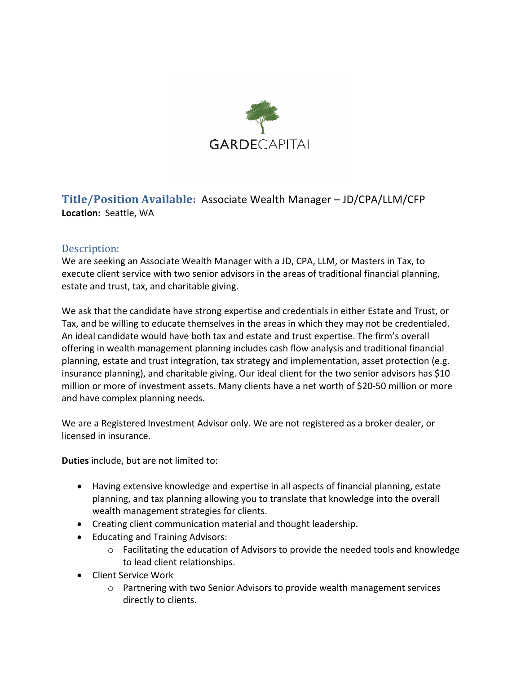

**Title/Position Available:** Associate Wealth Manager – JD/CPA/LLM/CFP **Location:** Seattle, WA

## Description:

We are seeking an Associate Wealth Manager with a JD, CPA, LLM, or Masters in Tax, to execute client service with two senior advisors in the areas of traditional financial planning, estate and trust, tax, and charitable giving.

We ask that the candidate have strong expertise and credentials in either Estate and Trust, or Tax, and be willing to educate themselves in the areas in which they may not be credentialed. An ideal candidate would have both tax and estate and trust expertise. The firm's overall offering in wealth management planning includes cash flow analysis and traditional financial planning, estate and trust integration, tax strategy and implementation, asset protection (e.g. insurance planning), and charitable giving. Our ideal client for the two senior advisors has \$10 million or more of investment assets. Many clients have a net worth of \$20-50 million or more and have complex planning needs.

We are a Registered Investment Advisor only. We are not registered as a broker dealer, or licensed in insurance.

**Duties** include, but are not limited to:

- Having extensive knowledge and expertise in all aspects of financial planning, estate planning, and tax planning allowing you to translate that knowledge into the overall wealth management strategies for clients.
- Creating client communication material and thought leadership.
- Educating and Training Advisors:
	- o Facilitating the education of Advisors to provide the needed tools and knowledge to lead client relationships.
- Client Service Work
	- o Partnering with two Senior Advisors to provide wealth management services directly to clients.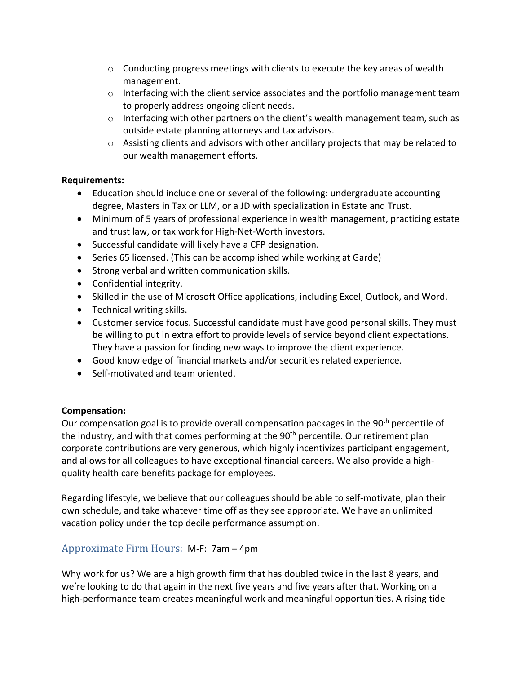- $\circ$  Conducting progress meetings with clients to execute the key areas of wealth management.
- o Interfacing with the client service associates and the portfolio management team to properly address ongoing client needs.
- $\circ$  Interfacing with other partners on the client's wealth management team, such as outside estate planning attorneys and tax advisors.
- $\circ$  Assisting clients and advisors with other ancillary projects that may be related to our wealth management efforts.

## **Requirements:**

- Education should include one or several of the following: undergraduate accounting degree, Masters in Tax or LLM, or a JD with specialization in Estate and Trust.
- Minimum of 5 years of professional experience in wealth management, practicing estate and trust law, or tax work for High-Net-Worth investors.
- Successful candidate will likely have a CFP designation.
- Series 65 licensed. (This can be accomplished while working at Garde)
- Strong verbal and written communication skills.
- Confidential integrity.
- Skilled in the use of Microsoft Office applications, including Excel, Outlook, and Word.
- Technical writing skills.
- Customer service focus. Successful candidate must have good personal skills. They must be willing to put in extra effort to provide levels of service beyond client expectations. They have a passion for finding new ways to improve the client experience.
- Good knowledge of financial markets and/or securities related experience.
- Self-motivated and team oriented.

## **Compensation:**

Our compensation goal is to provide overall compensation packages in the  $90<sup>th</sup>$  percentile of the industry, and with that comes performing at the 90<sup>th</sup> percentile. Our retirement plan corporate contributions are very generous, which highly incentivizes participant engagement, and allows for all colleagues to have exceptional financial careers. We also provide a highquality health care benefits package for employees.

Regarding lifestyle, we believe that our colleagues should be able to self-motivate, plan their own schedule, and take whatever time off as they see appropriate. We have an unlimited vacation policy under the top decile performance assumption.

## Approximate Firm Hours: M-F: 7am – 4pm

Why work for us? We are a high growth firm that has doubled twice in the last 8 years, and we're looking to do that again in the next five years and five years after that. Working on a high-performance team creates meaningful work and meaningful opportunities. A rising tide